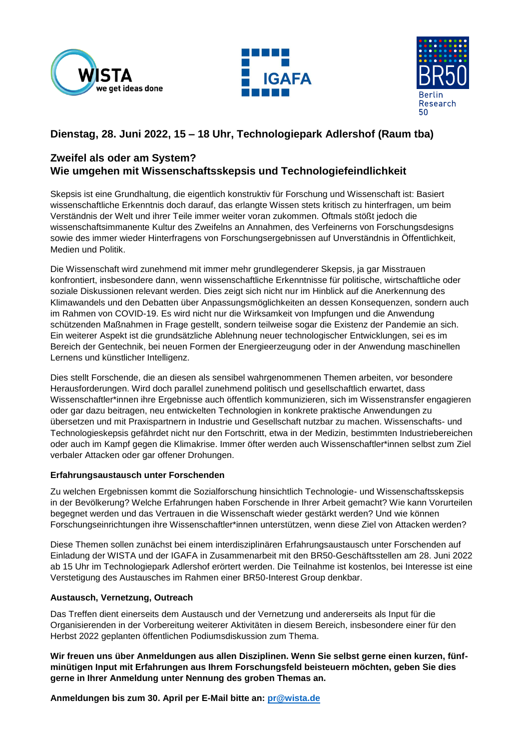





## **Dienstag, 28. Juni 2022, 15 – 18 Uhr, Technologiepark Adlershof (Raum tba)**

### **Zweifel als oder am System? Wie umgehen mit Wissenschaftsskepsis und Technologiefeindlichkeit**

Skepsis ist eine Grundhaltung, die eigentlich konstruktiv für Forschung und Wissenschaft ist: Basiert wissenschaftliche Erkenntnis doch darauf, das erlangte Wissen stets kritisch zu hinterfragen, um beim Verständnis der Welt und ihrer Teile immer weiter voran zukommen. Oftmals stößt jedoch die wissenschaftsimmanente Kultur des Zweifelns an Annahmen, des Verfeinerns von Forschungsdesigns sowie des immer wieder Hinterfragens von Forschungsergebnissen auf Unverständnis in Öffentlichkeit, Medien und Politik.

Die Wissenschaft wird zunehmend mit immer mehr grundlegenderer Skepsis, ja gar Misstrauen konfrontiert, insbesondere dann, wenn wissenschaftliche Erkenntnisse für politische, wirtschaftliche oder soziale Diskussionen relevant werden. Dies zeigt sich nicht nur im Hinblick auf die Anerkennung des Klimawandels und den Debatten über Anpassungsmöglichkeiten an dessen Konsequenzen, sondern auch im Rahmen von COVID-19. Es wird nicht nur die Wirksamkeit von Impfungen und die Anwendung schützenden Maßnahmen in Frage gestellt, sondern teilweise sogar die Existenz der Pandemie an sich. Ein weiterer Aspekt ist die grundsätzliche Ablehnung neuer technologischer Entwicklungen, sei es im Bereich der Gentechnik, bei neuen Formen der Energieerzeugung oder in der Anwendung maschinellen Lernens und künstlicher Intelligenz.

Dies stellt Forschende, die an diesen als sensibel wahrgenommenen Themen arbeiten, vor besondere Herausforderungen. Wird doch parallel zunehmend politisch und gesellschaftlich erwartet, dass Wissenschaftler\*innen ihre Ergebnisse auch öffentlich kommunizieren, sich im Wissenstransfer engagieren oder gar dazu beitragen, neu entwickelten Technologien in konkrete praktische Anwendungen zu übersetzen und mit Praxispartnern in Industrie und Gesellschaft nutzbar zu machen. Wissenschafts- und Technologieskepsis gefährdet nicht nur den Fortschritt, etwa in der Medizin, bestimmten Industriebereichen oder auch im Kampf gegen die Klimakrise. Immer öfter werden auch Wissenschaftler\*innen selbst zum Ziel verbaler Attacken oder gar offener Drohungen.

### **Erfahrungsaustausch unter Forschenden**

Zu welchen Ergebnissen kommt die Sozialforschung hinsichtlich Technologie- und Wissenschaftsskepsis in der Bevölkerung? Welche Erfahrungen haben Forschende in Ihrer Arbeit gemacht? Wie kann Vorurteilen begegnet werden und das Vertrauen in die Wissenschaft wieder gestärkt werden? Und wie können Forschungseinrichtungen ihre Wissenschaftler\*innen unterstützen, wenn diese Ziel von Attacken werden?

Diese Themen sollen zunächst bei einem interdisziplinären Erfahrungsaustausch unter Forschenden auf Einladung der WISTA und der IGAFA in Zusammenarbeit mit den BR50-Geschäftsstellen am 28. Juni 2022 ab 15 Uhr im Technologiepark Adlershof erörtert werden. Die Teilnahme ist kostenlos, bei Interesse ist eine Verstetigung des Austausches im Rahmen einer BR50-Interest Group denkbar.

#### **Austausch, Vernetzung, Outreach**

Das Treffen dient einerseits dem Austausch und der Vernetzung und andererseits als Input für die Organisierenden in der Vorbereitung weiterer Aktivitäten in diesem Bereich, insbesondere einer für den Herbst 2022 geplanten öffentlichen Podiumsdiskussion zum Thema.

**Wir freuen uns über Anmeldungen aus allen Disziplinen. Wenn Sie selbst gerne einen kurzen, fünfminütigen Input mit Erfahrungen aus Ihrem Forschungsfeld beisteuern möchten, geben Sie dies gerne in Ihrer Anmeldung unter Nennung des groben Themas an.**

**Anmeldungen bis zum 30. April per E-Mail bitte an: [pr@wista.de](mailto:pr@wista.de)**